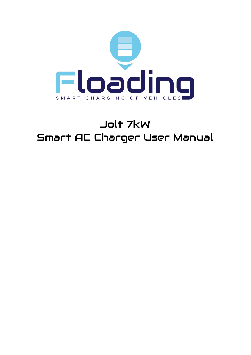

# Jolt 7kW Smart AC Charger User Manual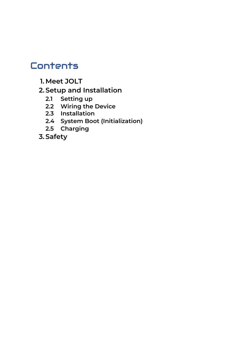# **Contents**

**1. Meet JOLT**

### **2. Setup and Installation**

- **2.1 Setting up**
- **2.2 Wiring the Device**
- **2.3 Installation**
- **2.4 System Boot (Initialization)**
- **2.5 Charging**
- **3. Safety**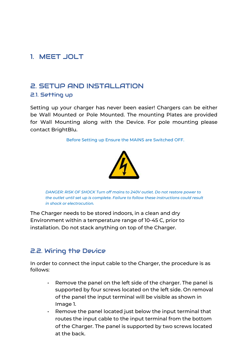### 1. MEET JOLT

## 2. SETUP AND INSTALLATION

#### 2.1. Setting up

Setting up your charger has never been easier! Chargers can be either be Wall Mounted or Pole Mounted. The mounting Plates are provided for Wall Mounting along with the Device. For pole mounting please contact BrightBlu.

Before Setting up Ensure the MAINS are Switched OFF.



*DANGER: RISK OF SHOCK Turn off mains to 240V outlet. Do not restore power to the outlet until set up is complete. Failure to follow these instructions could result in shock or electrocution.*

The Charger needs to be stored indoors, in a clean and dry Environment within a temperature range of 10-45 C, prior to installation. Do not stack anything on top of the Charger.

#### 2.2. Wiring the Device

In order to connect the input cable to the Charger, the procedure is as follows:

- Remove the panel on the left side of the charger. The panel is supported by four screws located on the left side. On removal of the panel the input terminal will be visible as shown in Image 1.
- Remove the panel located just below the input terminal that routes the input cable to the input terminal from the bottom of the Charger. The panel is supported by two screws located at the back.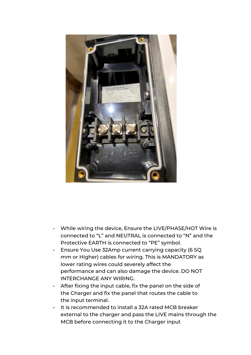

- While wiring the device, Ensure the LIVE/PHASE/HOT Wire is connected to "L" and NEUTRAL is connected to "N" and the Protective EARTH is connected to "PE" symbol.
- Ensure You Use 32Amp current carrying capacity (6 SQ mm or Higher) cables for wiring. This is MANDATORY as lower rating wires could severely affect the performance and can also damage the device. DO NOT INTERCHANGE ANY WIRING.
- After fixing the input cable, fix the panel on the side of the Charger and fix the panel that routes the cable to the input terminal.
- It is recommended to install a 32A rated MCB breaker external to the charger and pass the LIVE mains through the MCB before connecting it to the Charger input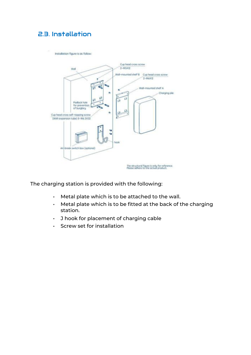#### 2.3. Installation

Installation figure is as follow:



The charging station is provided with the following:

- Metal plate which is to be attached to the wall.
- Metal plate which is to be fitted at the back of the charging station.
- J hook for placement of charging cable
- Screw set for installation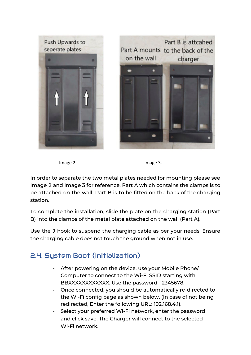

Image 2. **Image 2.** Image 3.

In order to separate the two metal plates needed for mounting please see Image 2 and Image 3 for reference. Part A which contains the clamps is to be attached on the wall. Part B is to be fitted on the back of the charging station.

To complete the installation, slide the plate on the charging station (Part B) into the clamps of the metal plate attached on the wall (Part A).

Use the J hook to suspend the charging cable as per your needs. Ensure the charging cable does not touch the ground when not in use.

#### 2.4. System Boot (Initialization)

- After powering on the device, use your Mobile Phone/ Computer to connect to the Wi-Fi SSID starting with BBXXXXXXXXXXXX. Use the password: 12345678.
- Once connected, you should be automatically re-directed to the Wi-Fi config page as shown below. (In case of not being redirected, Enter the following URL: 192.168.4.1).
- Select your preferred Wi-Fi network, enter the password and click save. The Charger will connect to the selected Wi-Fi network.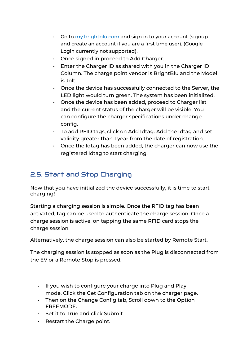- Go to my.brightblu.com and sign in to your account (signup and create an account if you are a first time user). (Google Login currently not supported).
- Once signed in proceed to Add Charger.
- Enter the Charger ID as shared with you in the Charger ID Column. The charge point vendor is BrightBlu and the Model is Jolt.
- Once the device has successfully connected to the Server, the LED light would turn green. The system has been initialized.
- Once the device has been added, proceed to Charger list and the current status of the charger will be visible. You can configure the charger specifications under change config.
- To add RFID tags, click on Add Idtag. Add the Idtag and set validity greater than 1 year from the date of registration.
- Once the Idtag has been added, the charger can now use the registered Idtag to start charging.

#### 2.5. Start and Stop Charging

Now that you have initialized the device successfully, it is time to start charging!

Starting a charging session is simple. Once the RFID tag has been activated, tag can be used to authenticate the charge session. Once a charge session is active, on tapping the same RFID card stops the charge session.

Alternatively, the charge session can also be started by Remote Start.

The charging session is stopped as soon as the Plug is disconnected from the EV or a Remote Stop is pressed.

- If you wish to configure your charge into Plug and Play mode, Click the Get Configuration tab on the charger page.
- Then on the Change Config tab, Scroll down to the Option FREEMODE.
- Set it to True and click Submit
- Restart the Charge point.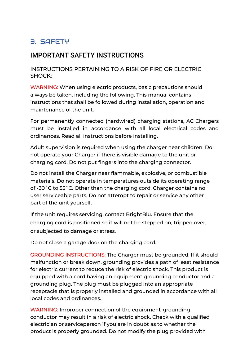#### 3. SAFETY

#### IMPORTANT SAFETY INSTRUCTIONS

#### INSTRUCTIONS PERTAINING TO A RISK OF FIRE OR ELECTRIC SHOCK:

WARNING: When using electric products, basic precautions should always be taken, including the following. This manual contains instructions that shall be followed during installation, operation and maintenance of the unit.

For permanently connected (hardwired) charging stations, AC Chargers must be installed in accordance with all local electrical codes and ordinances. Read all instructions before installing.

Adult supervision is required when using the charger near children. Do not operate your Charger if there is visible damage to the unit or charging cord. Do not put fingers into the charging connector.

Do not install the Charger near flammable, explosive, or combustible materials. Do not operate in temperatures outside its operating range of -30˚C to 55˚C. Other than the charging cord, Charger contains no user serviceable parts. Do not attempt to repair or service any other part of the unit yourself.

If the unit requires servicing, contact BrightBlu. Ensure that the charging cord is positioned so it will not be stepped on, tripped over, or subjected to damage or stress.

Do not close a garage door on the charging cord.

GROUNDING INSTRUCTIONS: The Charger must be grounded. If it should malfunction or break down, grounding provides a path of least resistance for electric current to reduce the risk of electric shock. This product is equipped with a cord having an equipment grounding conductor and a grounding plug. The plug must be plugged into an appropriate receptacle that is properly installed and grounded in accordance with all local codes and ordinances.

WARNING: Improper connection of the equipment-grounding conductor may result in a risk of electric shock. Check with a qualified electrician or serviceperson if you are in doubt as to whether the product is properly grounded. Do not modify the plug provided with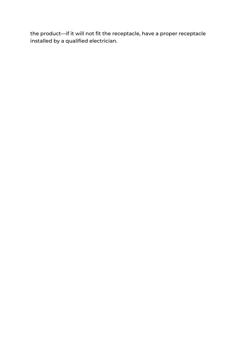the product—if it will not fit the receptacle, have a proper receptacle installed by a qualified electrician.